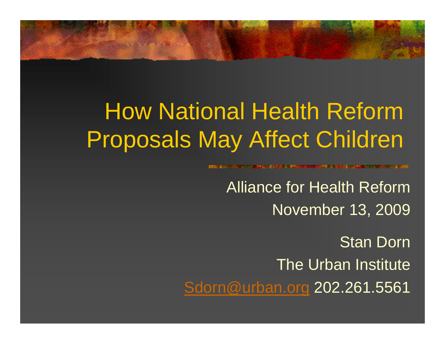#### How National Health Reform Proposals May Affect Children

**BARAGE A WEINER IN DARKER MINNESON AUF DER BEREICH BEREICHNET** 

Alliance for Health ReformNovember 13, 2009

Stan DornThe Urban Institute[Sdorn@urban.org](mailto:Sdorn@urban.org) 202.261.5561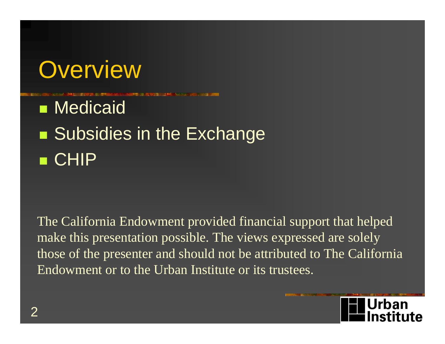

**Nedicaid Subsidies in the Exchange** CHIP

The California Endowment provided financial support that helped make this presentation possible. The views expressed are solely those of the presenter and should not be attributed to The California Endowment or to the Urban Institute or its trustees.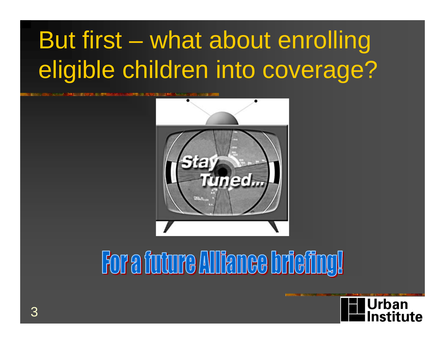# But first – what about enrolling eligible children into coverage?



# For a future Alliance briefing!

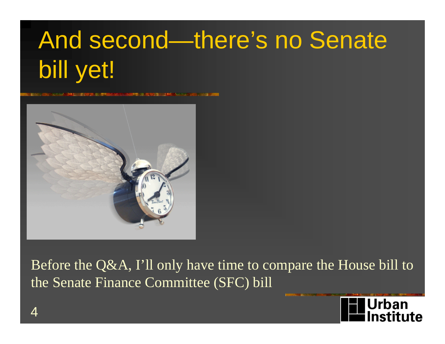# And second—there's no Senate bill yet!



Before the Q&A, I'll only have time to compare the House bill to the Senate Finance Committee (SFC) bill

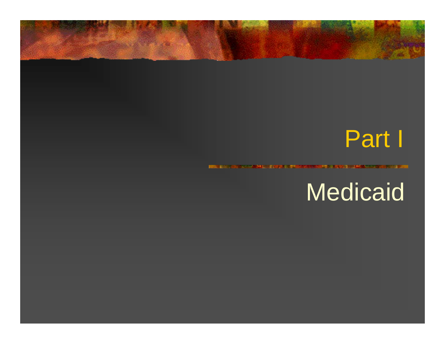#### Part I

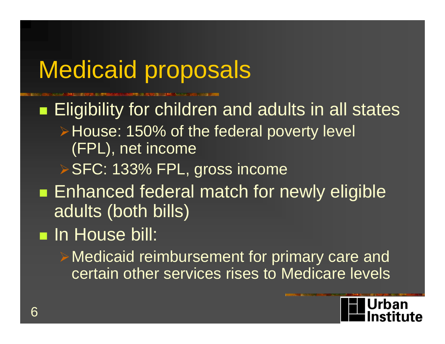# Medicaid proposals

**Eligibility for children and adults in all states ► House: 150% of the federal poverty level** (FPL), net income SFC: 133% FPL, gross income **Enhanced federal match for newly eligible** adults (both bills)

#### **In House bill:**

Medicaid reimbursement for primary care and certain other services rises to Medicare levels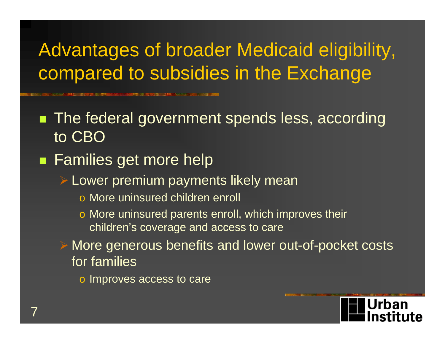#### Advantages of broader Medicaid eligibility, compared to subsidies in the Exchange

**2世には、おいない カニンス ままによ**い

**The federal government spends less, according** to CBO

**Families get more help** 

Lower premium payments likely mean

- o More uninsured children enroll
- o More uninsured parents enroll, which improves their children's coverage and access to care
- More generous benefits and lower out-of-pocket costs for families
	- o Improves access to care

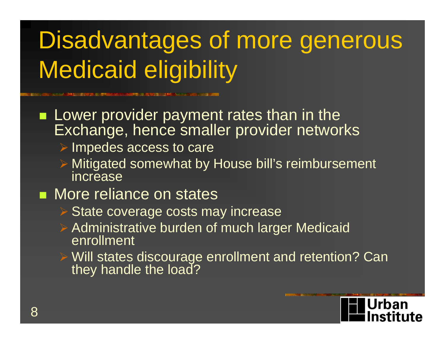# Disadvantages of more generous Medicaid eligibility

- **Lower provider payment rates than in the** Exchange, hence smaller provider networks
	- $\triangleright$  Impedes access to care
	- Mitigated somewhat by House bill's reimbursement increase
- **Nore reliance on states** 
	- **► State coverage costs may increase**
	- Administrative burden of much larger Medicaid enrollment
	- Will states discourage enrollment and retention? Can they handle the load?

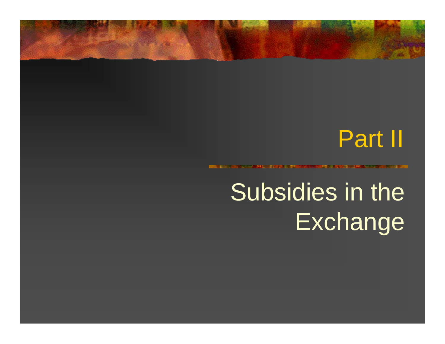#### Part II

# Subsidies in the **Exchange**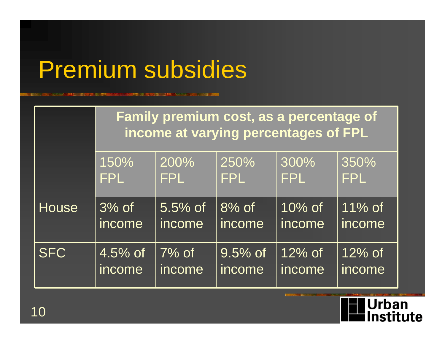## Premium subsidies

**MARICO ANNO DECEMBRO COM NORTH ASSAULTS** 

|              | Family premium cost, as a percentage of<br>income at varying percentages of FPL |            |            |            |            |  |  |
|--------------|---------------------------------------------------------------------------------|------------|------------|------------|------------|--|--|
|              | 150%                                                                            | 200%       | 250%       | 300%       | 350%       |  |  |
|              | <b>FPL</b>                                                                      | <b>FPL</b> | FPL        | <b>FPL</b> | <b>FPL</b> |  |  |
| <b>House</b> | $\overline{3\%}$ of                                                             | $5.5\%$ of | $8%$ of    | $10\%$ of  | $11\%$ of  |  |  |
|              | income                                                                          | income     | income     | income     | income     |  |  |
| <b>SFC</b>   | $4.5\%$ of                                                                      | $7%$ of    | $9.5\%$ of | $12\%$ of  | $12\%$ of  |  |  |
|              | income                                                                          | income     | income     | income     | income     |  |  |

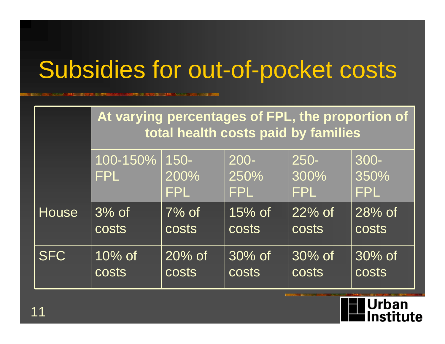## Subsidies for out-of-pocket costs

**MINISTER AND A REPORT OF THE ANNUAL AND RESIDENCE** 

|              | At varying percentages of FPL, the proportion of<br>total health costs paid by families |                               |                               |                               |                            |  |  |
|--------------|-----------------------------------------------------------------------------------------|-------------------------------|-------------------------------|-------------------------------|----------------------------|--|--|
|              | 100-150%<br><b>FPL</b>                                                                  | $150 -$<br>200%<br><b>FPL</b> | $200 -$<br>250%<br><b>FPL</b> | $250 -$<br>300%<br><b>FPL</b> | 300-<br>350%<br><b>FPL</b> |  |  |
| <b>House</b> | $\overline{3\%}$ of                                                                     | $7%$ of                       | $15%$ of                      | $22\%$ of                     | $28\%$ of                  |  |  |
|              | <b>COStS</b>                                                                            | <b>COSTS</b>                  | <b>COStS</b>                  | <b>costs</b>                  | <b>COSTS</b>               |  |  |
| <b>SFC</b>   | $10\%$ of                                                                               | $20\%$ of                     | $30\%$ of                     | $30\%$ of                     | $30\%$ of                  |  |  |
|              | <b>costs</b>                                                                            | <b>costs</b>                  | <b>COStS</b>                  | <b>costs</b>                  | <b>costs</b>               |  |  |

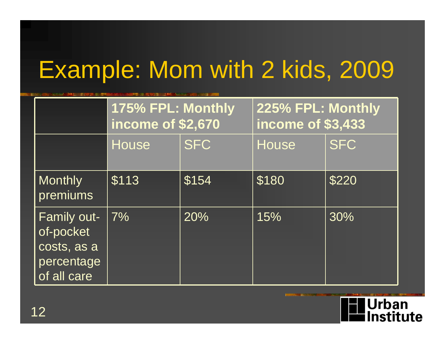# Example: Mom with 2 kids, 2009

|                                                                      | 175% FPL: Monthly<br>income of \$2,670 |            | 225% FPL: Monthly<br>income of \$3,433 |            |  |
|----------------------------------------------------------------------|----------------------------------------|------------|----------------------------------------|------------|--|
|                                                                      | House                                  | <b>SFC</b> | House                                  | <b>SFC</b> |  |
| <b>Monthly</b><br>premiums                                           | \$113                                  | \$154      | \$180                                  | \$220      |  |
| Family out-<br>of-pocket<br>costs, as a<br>percentage<br>of all care | $\overline{7\%}$                       | 20%        | 15%                                    | 30%        |  |

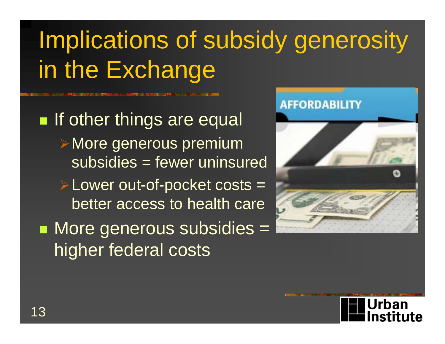# Implications of subsidy generosity in the Exchange

**If other things are equal** More generous premium subsidies = fewer uninsured Lower out-of-pocket costs = better access to health care  $\blacksquare$  More generous subsidies  $=$ higher federal costs



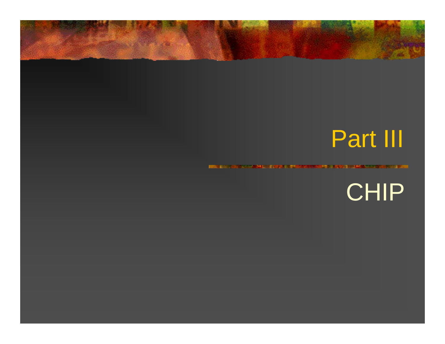### Part III

CHIP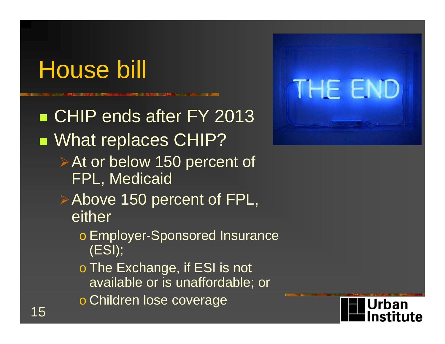## House bill

■ CHIP ends after FY 2013 **NAT MEDIACES CHIP? ≻At or below 150 percent of** FPL, Medicaid Above 150 percent of FPL, either o Employer-Sponsored Insurance (ESI); o The Exchange, if ESI is not available or is unaffordable; or o Children lose coverage



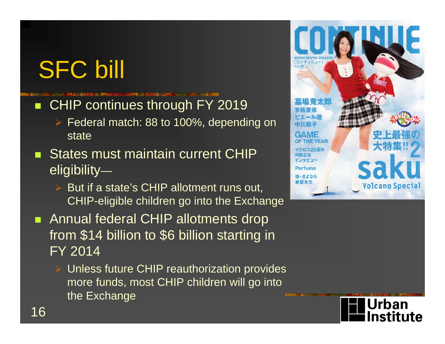SFC bill

- CHIP continues through FY 2019
	- Federal match: 88 to 100%, depending on state
- **States must maintain current CHIP** eligibility—
	- $\triangleright$  But if a state's CHIP allotment runs out, CHIP-eligible children go into the Exchange
- **Annual federal CHIP allotments drop** from \$14 billion to \$6 billion starting in FY 2014
	- Unless future CHIP reauthorization provides more funds, most CHIP children will go into the Exchange



Urban nstitute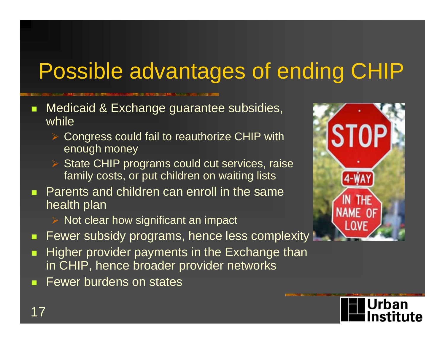### Possible advantages of ending CHIP

- п Medicaid & Exchange guarantee subsidies, while
	- $\blacktriangleright$  Congress could fail to reauthorize CHIP with enough money
	- $\blacktriangleright$  State CHIP programs could cut services, raise family costs, or put children on waiting lists
- Parents and children can enroll in the same health plan
	- Not clear how significant an impact
- п Fewer subsidy programs, hence less complexity
- п Higher provider payments in the Exchange than in CHIP, hence broader provider networks
- $\mathcal{L}_{\mathcal{A}}$ Fewer burdens on states



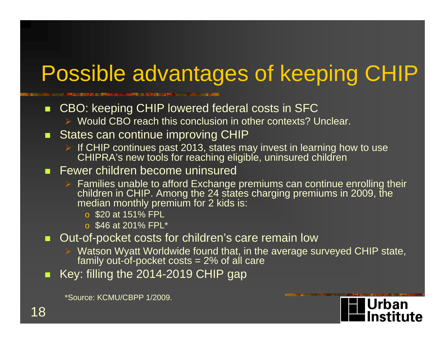#### Possible advantages of keeping CHIP

**RAMPER COURSES IN A SERVICE AND A STREET AND RESIDENT** 

 $\blacksquare$ CBO: keeping CHIP lowered federal costs in SFC

▶ Would CBO reach this conclusion in other contexts? Unclear.

#### $\blacksquare$ States can continue improving CHIP

- $\triangleright$  If CHIP continues past 2013, states may invest in learning how to use CHIPRA's new tools for reaching eligible, uninsured children
- **Fewer children become uninsured** 
	- $\triangleright$  Families unable to afford Exchange premiums can continue enrolling their children in CHIP. Among the 24 states charging premiums in 2009, the median monthly premium for 2 kids is:
		- o \$20 at 151% FPL
		- o \$46 at 201% FPL\*
- п Out-of-pocket costs for children's care remain low
	- $\triangleright$  Watson Wyatt Worldwide found that, in the average surveyed CHIP state, family out-of-pocket costs = 2% of all care

Urban

nstitute

п Key: filling the 2014-2019 CHIP gap

\*Source: KCMU/CBPP 1/2009.